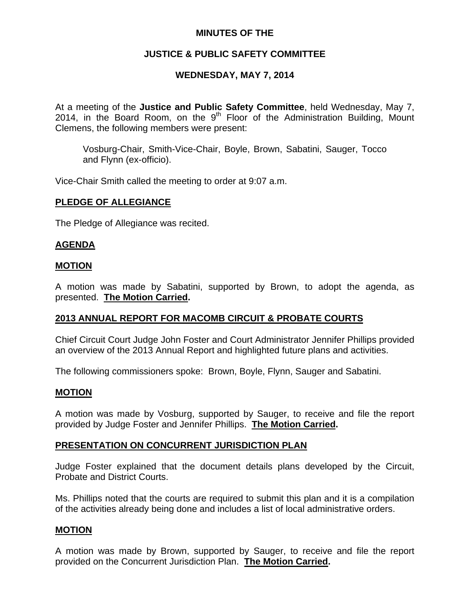### **MINUTES OF THE**

# **JUSTICE & PUBLIC SAFETY COMMITTEE**

# **WEDNESDAY, MAY 7, 2014**

At a meeting of the **Justice and Public Safety Committee**, held Wednesday, May 7, 2014, in the Board Room, on the  $9<sup>th</sup>$  Floor of the Administration Building, Mount Clemens, the following members were present:

Vosburg-Chair, Smith-Vice-Chair, Boyle, Brown, Sabatini, Sauger, Tocco and Flynn (ex-officio).

Vice-Chair Smith called the meeting to order at 9:07 a.m.

# **PLEDGE OF ALLEGIANCE**

The Pledge of Allegiance was recited.

### **AGENDA**

#### **MOTION**

A motion was made by Sabatini, supported by Brown, to adopt the agenda, as presented. **The Motion Carried.** 

# **2013 ANNUAL REPORT FOR MACOMB CIRCUIT & PROBATE COURTS**

Chief Circuit Court Judge John Foster and Court Administrator Jennifer Phillips provided an overview of the 2013 Annual Report and highlighted future plans and activities.

The following commissioners spoke: Brown, Boyle, Flynn, Sauger and Sabatini.

#### **MOTION**

A motion was made by Vosburg, supported by Sauger, to receive and file the report provided by Judge Foster and Jennifer Phillips. **The Motion Carried.** 

# **PRESENTATION ON CONCURRENT JURISDICTION PLAN**

Judge Foster explained that the document details plans developed by the Circuit, Probate and District Courts.

Ms. Phillips noted that the courts are required to submit this plan and it is a compilation of the activities already being done and includes a list of local administrative orders.

#### **MOTION**

A motion was made by Brown, supported by Sauger, to receive and file the report provided on the Concurrent Jurisdiction Plan. **The Motion Carried.**